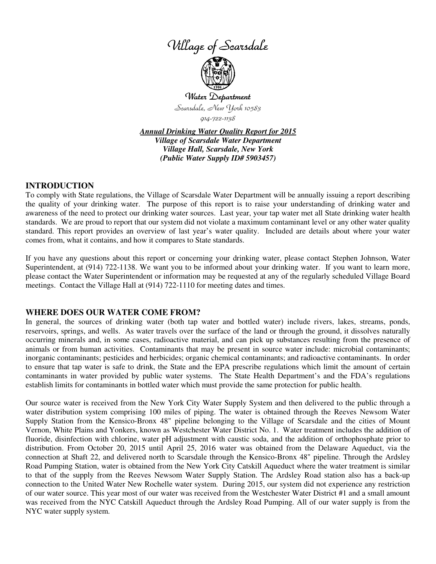



Water Department Scarsdale, New York 10583 914-722-1138

*Annual Drinking Water Quality Report for 2015 Village of Scarsdale Water Department Village Hall, Scarsdale, New York (Public Water Supply ID# 5903457)*

## **INTRODUCTION**

To comply with State regulations, the Village of Scarsdale Water Department will be annually issuing a report describing the quality of your drinking water. The purpose of this report is to raise your understanding of drinking water and awareness of the need to protect our drinking water sources. Last year, your tap water met all State drinking water health standards. We are proud to report that our system did not violate a maximum contaminant level or any other water quality standard. This report provides an overview of last year's water quality. Included are details about where your water comes from, what it contains, and how it compares to State standards.

If you have any questions about this report or concerning your drinking water, please contact Stephen Johnson, Water Superintendent, at (914) 722-1138. We want you to be informed about your drinking water. If you want to learn more, please contact the Water Superintendent or information may be requested at any of the regularly scheduled Village Board meetings. Contact the Village Hall at (914) 722-1110 for meeting dates and times.

## **WHERE DOES OUR WATER COME FROM?**

In general, the sources of drinking water (both tap water and bottled water) include rivers, lakes, streams, ponds, reservoirs, springs, and wells. As water travels over the surface of the land or through the ground, it dissolves naturally occurring minerals and, in some cases, radioactive material, and can pick up substances resulting from the presence of animals or from human activities. Contaminants that may be present in source water include: microbial contaminants; inorganic contaminants; pesticides and herbicides; organic chemical contaminants; and radioactive contaminants. In order to ensure that tap water is safe to drink, the State and the EPA prescribe regulations which limit the amount of certain contaminants in water provided by public water systems. The State Health Department's and the FDA's regulations establish limits for contaminants in bottled water which must provide the same protection for public health.

Our source water is received from the New York City Water Supply System and then delivered to the public through a water distribution system comprising 100 miles of piping. The water is obtained through the Reeves Newsom Water Supply Station from the Kensico-Bronx 48" pipeline belonging to the Village of Scarsdale and the cities of Mount Vernon, White Plains and Yonkers, known as Westchester Water District No. 1. Water treatment includes the addition of fluoride, disinfection with chlorine, water pH adjustment with caustic soda, and the addition of orthophosphate prior to distribution. From October 20, 2015 until April 25, 2016 water was obtained from the Delaware Aqueduct, via the connection at Shaft 22, and delivered north to Scarsdale through the Kensico-Bronx 48" pipeline. Through the Ardsley Road Pumping Station, water is obtained from the New York City Catskill Aqueduct where the water treatment is similar to that of the supply from the Reeves Newsom Water Supply Station. The Ardsley Road station also has a back-up connection to the United Water New Rochelle water system. During 2015, our system did not experience any restriction of our water source. This year most of our water was received from the Westchester Water District #1 and a small amount was received from the NYC Catskill Aqueduct through the Ardsley Road Pumping. All of our water supply is from the NYC water supply system.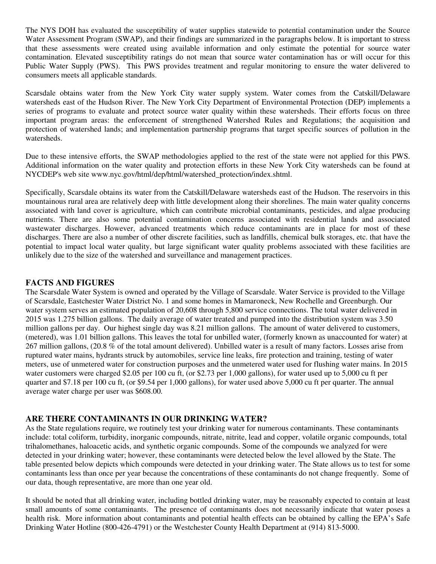The NYS DOH has evaluated the susceptibility of water supplies statewide to potential contamination under the Source Water Assessment Program (SWAP), and their findings are summarized in the paragraphs below. It is important to stress that these assessments were created using available information and only estimate the potential for source water contamination. Elevated susceptibility ratings do not mean that source water contamination has or will occur for this Public Water Supply (PWS). This PWS provides treatment and regular monitoring to ensure the water delivered to consumers meets all applicable standards.

Scarsdale obtains water from the New York City water supply system. Water comes from the Catskill/Delaware watersheds east of the Hudson River. The New York City Department of Environmental Protection (DEP) implements a series of programs to evaluate and protect source water quality within these watersheds. Their efforts focus on three important program areas: the enforcement of strengthened Watershed Rules and Regulations; the acquisition and protection of watershed lands; and implementation partnership programs that target specific sources of pollution in the watersheds.

Due to these intensive efforts, the SWAP methodologies applied to the rest of the state were not applied for this PWS. Additional information on the water quality and protection efforts in these New York City watersheds can be found at NYCDEP's web site www.nyc.gov/html/dep/html/watershed\_protection/index.shtml.

Specifically, Scarsdale obtains its water from the Catskill/Delaware watersheds east of the Hudson. The reservoirs in this mountainous rural area are relatively deep with little development along their shorelines. The main water quality concerns associated with land cover is agriculture, which can contribute microbial contaminants, pesticides, and algae producing nutrients. There are also some potential contamination concerns associated with residential lands and associated wastewater discharges. However, advanced treatments which reduce contaminants are in place for most of these discharges. There are also a number of other discrete facilities, such as landfills, chemical bulk storages, etc. that have the potential to impact local water quality, but large significant water quality problems associated with these facilities are unlikely due to the size of the watershed and surveillance and management practices.

# **FACTS AND FIGURES**

The Scarsdale Water System is owned and operated by the Village of Scarsdale. Water Service is provided to the Village of Scarsdale, Eastchester Water District No. 1 and some homes in Mamaroneck, New Rochelle and Greenburgh. Our water system serves an estimated population of 20,608 through 5,800 service connections. The total water delivered in 2015 was 1.275 billion gallons. The daily average of water treated and pumped into the distribution system was 3.50 million gallons per day. Our highest single day was 8.21 million gallons. The amount of water delivered to customers, (metered), was 1.01 billion gallons. This leaves the total for unbilled water, (formerly known as unaccounted for water) at 267 million gallons, (20.8 % of the total amount delivered). Unbilled water is a result of many factors. Losses arise from ruptured water mains, hydrants struck by automobiles, service line leaks, fire protection and training, testing of water meters, use of unmetered water for construction purposes and the unmetered water used for flushing water mains. In 2015 water customers were charged \$2.05 per 100 cu ft, (or \$2.73 per 1,000 gallons), for water used up to 5,000 cu ft per quarter and \$7.18 per 100 cu ft, (or \$9.54 per 1,000 gallons), for water used above 5,000 cu ft per quarter. The annual average water charge per user was \$608.00.

# **ARE THERE CONTAMINANTS IN OUR DRINKING WATER?**

As the State regulations require, we routinely test your drinking water for numerous contaminants. These contaminants include: total coliform, turbidity, inorganic compounds, nitrate, nitrite, lead and copper, volatile organic compounds, total trihalomethanes, haloacetic acids, and synthetic organic compounds. Some of the compounds we analyzed for were detected in your drinking water; however, these contaminants were detected below the level allowed by the State. The table presented below depicts which compounds were detected in your drinking water. The State allows us to test for some contaminants less than once per year because the concentrations of these contaminants do not change frequently. Some of our data, though representative, are more than one year old.

It should be noted that all drinking water, including bottled drinking water, may be reasonably expected to contain at least small amounts of some contaminants. The presence of contaminants does not necessarily indicate that water poses a health risk. More information about contaminants and potential health effects can be obtained by calling the EPA's Safe Drinking Water Hotline (800-426-4791) or the Westchester County Health Department at (914) 813-5000.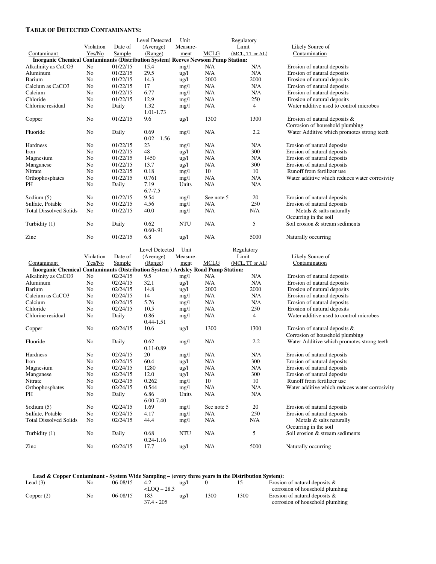#### **TABLE OF DETECTED CONTAMINANTS:**

|                                                                                          |           |          | Level Detected        | Unit            |            | Regulatory      |                                                |
|------------------------------------------------------------------------------------------|-----------|----------|-----------------------|-----------------|------------|-----------------|------------------------------------------------|
|                                                                                          | Violation | Date of  | (Average)             | Measure-        |            | Limit           | Likely Source of                               |
| Contaminant                                                                              | Yes/No    | Sample   | (Range)               | ment            | MCLG       | (MCL, TT or AL) | Contamination                                  |
| <b>Inorganic Chemical Contaminants (Distribution System) Reeves Newsom Pump Station:</b> |           |          |                       |                 |            |                 |                                                |
| Alkalinity as CaCO3                                                                      | No        | 01/22/15 | 15.4                  | mg/l            | N/A        | N/A             | Erosion of natural deposits                    |
| Aluminum                                                                                 | No        | 01/22/15 | 29.5                  | $\frac{u g}{l}$ | N/A        | N/A             | Erosion of natural deposits                    |
| Barium                                                                                   | No        | 01/22/15 | 14.3                  | $\frac{u g}{l}$ | 2000       | 2000            | Erosion of natural deposits                    |
| Calcium as CaCO3                                                                         | No        | 01/22/15 | 17                    | mg/l            | N/A        | N/A             | Erosion of natural deposits                    |
| Calcium                                                                                  | No        | 01/22/15 | 6.77                  | mg/l            | N/A        | N/A             | Erosion of natural deposits                    |
| Chloride                                                                                 | No        | 01/22/15 | 12.9                  | mg/l            | N/A        | 250             | Erosion of natural deposits                    |
| Chlorine residual                                                                        | No        | Daily    | 1.32                  | mg/l            | N/A        | $\overline{4}$  | Water additive used to control microbes        |
|                                                                                          |           |          | 1.01-1.73             |                 |            |                 |                                                |
| Copper                                                                                   | No        | 01/22/15 | 9.6                   | $\frac{u g}{l}$ | 1300       | 1300            | Erosion of natural deposits $\&$               |
|                                                                                          |           |          |                       |                 |            |                 | Corrosion of household plumbing                |
| Fluoride                                                                                 | No        | Daily    | 0.69                  | mg/l            | N/A        | 2.2             | Water Additive which promotes strong teeth     |
|                                                                                          |           |          | $0.02 - 1.56$         |                 |            |                 |                                                |
| Hardness                                                                                 | No        | 01/22/15 | 23                    |                 | N/A        | N/A             | Erosion of natural deposits                    |
| Iron                                                                                     | No        | 01/22/15 | 48                    | mg/l            | N/A        | 300             | Erosion of natural deposits                    |
|                                                                                          |           |          |                       | ug/l            |            |                 |                                                |
| Magnesium                                                                                | No        | 01/22/15 | 1450                  | $\frac{u g}{l}$ | N/A        | N/A             | Erosion of natural deposits                    |
| Manganese                                                                                | No        | 01/22/15 | 13.7                  | $\frac{u g}{l}$ | N/A        | 300             | Erosion of natural deposits                    |
| Nitrate                                                                                  | No        | 01/22/15 | 0.18                  | mg/l            | 10         | 10              | Runoff from fertilizer use                     |
| Orthophosphates                                                                          | No        | 01/22/15 | 0.761                 | mg/l            | N/A        | N/A             | Water additive which reduces water corrosivity |
| PH                                                                                       | No        | Daily    | 7.19                  | Units           | N/A        | N/A             |                                                |
|                                                                                          |           |          | $6.7 - 7.5$           |                 |            |                 |                                                |
| Sodium $(5)$                                                                             | No        | 01/22/15 | 9.54                  | mg/l            | See note 5 | 20              | Erosion of natural deposits                    |
| Sulfate, Potable                                                                         | No        | 01/22/15 | 4.56                  | mg/l            | N/A        | 250             | Erosion of natural deposits                    |
| <b>Total Dissolved Solids</b>                                                            | No        | 01/22/15 | 40.0                  | mg/l            | N/A        | N/A             | Metals & salts naturally                       |
|                                                                                          |           |          |                       |                 |            |                 | Occurring in the soil                          |
| Turbidity (1)                                                                            | No        | Daily    | 0.62                  | NTU             | N/A        | 5               | Soil erosion & stream sediments                |
|                                                                                          |           |          | $0.60 - 91$           |                 |            |                 |                                                |
| Zinc                                                                                     | No        | 01/22/15 | 6.8                   | ug/l            | N/A        | 5000            | Naturally occurring                            |
|                                                                                          |           |          |                       |                 |            |                 |                                                |
|                                                                                          |           |          |                       |                 |            |                 |                                                |
|                                                                                          |           |          | Level Detected        | Unit            |            |                 |                                                |
|                                                                                          |           |          |                       |                 |            | Regulatory      |                                                |
|                                                                                          | Violation | Date of  | (Average)             | Measure-        |            | Limit           | Likely Source of                               |
| Contaminant                                                                              | Yes/No    | Sample   | (Range)               | ment            | MCLG       | (MCL, TT or AL) | Contamination                                  |
| Inorganic Chemical Contaminants (Distribution System ) Ardsley Road Pump Station:        |           |          |                       |                 |            |                 |                                                |
| Alkalinity as CaCO3                                                                      | No        | 02/24/15 | 9.5                   | mg/l            | N/A        | N/A             | Erosion of natural deposits                    |
| Aluminum                                                                                 | No        | 02/24/15 | 32.1                  | ug/l            | N/A        | N/A             | Erosion of natural deposits                    |
| Barium                                                                                   | No        | 02/24/15 | 14.8                  | ug/l            | 2000       | 2000            | Erosion of natural deposits                    |
| Calcium as CaCO3                                                                         | No        | 02/24/15 | 14                    | mg/l            | N/A        | N/A             | Erosion of natural deposits                    |
| Calcium                                                                                  | No        | 02/24/15 | 5.76                  | mg/l            | N/A        | N/A             | Erosion of natural deposits                    |
| Chloride                                                                                 | No        | 02/24/15 | 10.5                  | mg/l            | N/A        | 250             | Erosion of natural deposits                    |
| Chlorine residual                                                                        | No        | Daily    | 0.86                  | mg/l            | N/A        | $\overline{4}$  | Water additive used to control microbes        |
|                                                                                          |           |          | $0.44 - 1.51$         |                 |            |                 |                                                |
| Copper                                                                                   | No        | 02/24/15 | 10.6                  | $\frac{u g}{l}$ | 1300       | 1300            | Erosion of natural deposits &                  |
|                                                                                          |           |          |                       |                 |            |                 | Corrosion of household plumbing                |
| Fluoride                                                                                 | No        | Daily    | 0.62                  | mg/l            | N/A        | 2.2             | Water Additive which promotes strong teeth     |
|                                                                                          |           |          | $0.11 - 0.89$         |                 |            |                 |                                                |
| Hardness                                                                                 | No        | 02/24/15 | 20                    | mg/l            | N/A        | N/A             | Erosion of natural deposits                    |
| Iron                                                                                     | $\rm No$  | 02/24/15 | 60.4                  | ug/l            | N/A        | 300             | Erosion of natural deposits                    |
| Magnesium                                                                                | No        | 02/24/15 | 1280                  | $\frac{u g}{l}$ | N/A        | N/A             | Erosion of natural deposits                    |
| Manganese                                                                                | No        | 02/24/15 | 12.0                  | $\frac{u g}{l}$ | N/A        | 300             | Erosion of natural deposits                    |
| Nitrate                                                                                  | No        | 02/24/15 | 0.262                 | mg/l            | 10         | 10              | Runoff from fertilizer use                     |
| Orthophosphates                                                                          | No        | 02/24/15 | 0.544                 | mg/l            | N/A        | N/A             | Water additive which reduces water corrosivity |
| PH                                                                                       | No        | Daily    | 6.86                  | Units           | N/A        | N/A             |                                                |
|                                                                                          |           |          | 6.00-7.40             |                 |            |                 |                                                |
| Sodium $(5)$                                                                             | No        | 02/24/15 | 1.69                  | mg/l            | See note 5 | 20              | Erosion of natural deposits                    |
| Sulfate, Potable                                                                         | No        | 02/24/15 | 4.17                  |                 | N/A        | 250             |                                                |
|                                                                                          | No        |          |                       | mg/l            |            |                 | Erosion of natural deposits                    |
| <b>Total Dissolved Solids</b>                                                            |           | 02/24/15 | 44.4                  | mg/l            | N/A        | N/A             | Metals & salts naturally                       |
|                                                                                          |           |          |                       |                 |            |                 | Occurring in the soil                          |
| Turbidity (1)                                                                            | No        | Daily    | 0.68                  | NTU             | N/A        | 5               | Soil erosion & stream sediments                |
| Zinc                                                                                     | No        | 02/24/15 | $0.24 - 1.16$<br>17.7 | ug/l            | N/A        | 5000            | Naturally occurring                            |

#### **Lead & Copper Contaminant - System Wide Sampling – (every three years in the Distribution System):**

| Lead $(3)$   | No | 06-08/15 | 4.2            | $u\Omega/l$ |               |      | Erosion of natural deposits $\&$ |
|--------------|----|----------|----------------|-------------|---------------|------|----------------------------------|
|              |    |          | $<$ LOO – 28.3 |             |               |      | corrosion of household plumbing  |
| Copper $(2)$ | No | 06-08/15 | 183            | $u\Omega/1$ | $^{\circ}300$ | 1300 | Erosion of natural deposits $\&$ |
|              |    |          | 37.4 - 205     |             |               |      | corrosion of household plumbing  |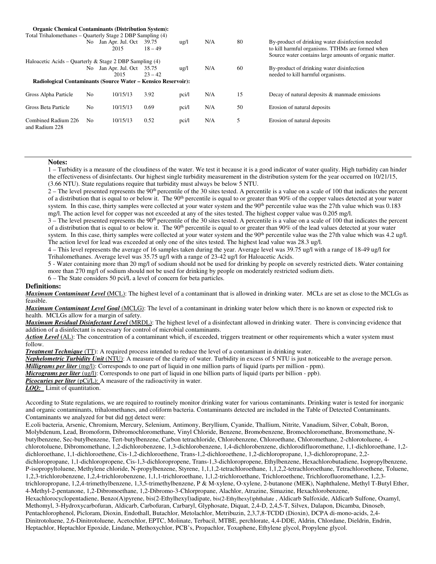| <b>Organic Chemical Contaminants (Distribution System):</b>   |                |                                 |                    |                 |     |    |                                                                                                                                                                |
|---------------------------------------------------------------|----------------|---------------------------------|--------------------|-----------------|-----|----|----------------------------------------------------------------------------------------------------------------------------------------------------------------|
| Total Trihalomethanes – Quarterly Stage 2 DBP Sampling (4)    |                |                                 |                    |                 |     |    |                                                                                                                                                                |
|                                                               | No.            | Jan Apr. Jul. Oct<br>2015       | 39.75<br>$18 - 49$ | $\frac{u g}{l}$ | N/A | 80 | By-product of drinking water disinfection needed<br>to kill harmful organisms. TTHMs are formed when<br>Source water contains large amounts of organic matter. |
| Haloacetic Acids – Quarterly & Stage 2 DBP Sampling $(4)$     |                |                                 |                    |                 |     |    |                                                                                                                                                                |
|                                                               | No             | Jan Apr. Jul. Oct 35.75<br>2015 | $23 - 42$          | $\frac{u}{g}$   | N/A | 60 | By-product of drinking water disinfection<br>needed to kill harmful organisms.                                                                                 |
| Radiological Contaminants (Source Water – Kensico Reservoir): |                |                                 |                    |                 |     |    |                                                                                                                                                                |
| Gross Alpha Particle                                          | N <sub>0</sub> | 10/15/13                        | 3.92               | pci/l           | N/A | 15 | Decay of natural deposits & manmade emissions                                                                                                                  |
| Gross Beta Particle                                           | N <sub>0</sub> | 10/15/13                        | 0.69               | pci/l           | N/A | 50 | Erosion of natural deposits                                                                                                                                    |
| Combined Radium 226<br>and Radium 228                         | No             | 10/15/13                        | 0.52               | pci/l           | N/A | 5  | Erosion of natural deposits                                                                                                                                    |

#### **Notes:**

1 – Turbidity is a measure of the cloudiness of the water. We test it because it is a good indicator of water quality. High turbidity can hinder the effectiveness of disinfectants. Our highest single turbidity measurement in the distribution system for the year occurred on 10/21/15, (3.66 NTU). State regulations require that turbidity must always be below 5 NTU.

 $2 -$  The level presented represents the 90<sup>th</sup> percentile of the 30 sites tested. A percentile is a value on a scale of 100 that indicates the percent of a distribution that is equal to or below it. The 90<sup>th</sup> percentile is equal to or greater than 90% of the copper values detected at your water system. In this case, thirty samples were collected at your water system and the 90<sup>th</sup> percentile value was the 27th value which was 0.183 mg/l. The action level for copper was not exceeded at any of the sites tested. The highest copper value was 0.205 mg/l.

 $3$  – The level presented represents the 90<sup>th</sup> percentile of the 30 sites tested. A percentile is a value on a scale of 100 that indicates the percent of a distribution that is equal to or below it. The  $90<sup>th</sup>$  percentile is equal to or greater than  $90%$  of the lead values detected at your water system. In this case, thirty samples were collected at your water system and the 90<sup>th</sup> percentile value was the 27th value which was 4.2 ug/l. The action level for lead was exceeded at only one of the sites tested. The highest lead value was 28.3 ug/l.

4 – This level represents the average of 16 samples taken during the year. Average level was 39.75 ug/l with a range of 18-49 ug/l for Trihalomethanes. Average level was 35.75 ug/l with a range of 23-42 ug/l for Haloacetic Acids.

5 - Water containing more than 20 mg/l of sodium should not be used for drinking by people on severely restricted diets. Water containing more than 270 mg/l of sodium should not be used for drinking by people on moderately restricted sodium diets.

6 – The State considers 50 pci/L a level of concern for beta particles.

#### **Definitions:**

*Maximum Contaminant Level* **(**MCL): The highest level of a contaminant that is allowed in drinking water. MCLs are set as close to the MCLGs as feasible.

*Maximum Contaminant Level Goal* (MCLG): The level of a contaminant in drinking water below which there is no known or expected risk to health. MCLGs allow for a margin of safety.

*Maximum Residual Disinfectant Level* (MRDL): The highest level of a disinfectant allowed in drinking water. There is convincing evidence that addition of a disinfectant is necessary for control of microbial contaminants.

*Action Level* **(**AL): The concentration of a contaminant which, if exceeded, triggers treatment or other requirements which a water system must follow.

*Treatment Technique* (TT): A required process intended to reduce the level of a contaminant in drinking water.

*Nephelometric Turbidity Unit* (NTU): A measure of the clarity of water. Turbidity in excess of 5 NTU is just noticeable to the average person.

*Milligrams per liter* (mg/l): Corresponds to one part of liquid in one million parts of liquid (parts per million - ppm).

*Micrograms per liter* (ug/l): Corresponds to one part of liquid in one billion parts of liquid (parts per billion - ppb).

*Picocuries per liter* (pCi/L): A measure of the radioactivity in water.

*LOQ:* Limit of quantitation.

According to State regulations, we are required to routinely monitor drinking water for various contaminants. Drinking water is tested for inorganic and organic contaminants, trihalomethanes, and coliform bacteria. Contaminants detected are included in the Table of Detected Contaminants. Contaminants we analyzed for but did not detect were:

E.coli bacteria, Arsenic, Chromium, Mercury, Selenium, Antimony, Beryllium, Cyanide, Thallium, Nitrite, Vanadium, Silver, Cobalt, Boron, Molybdenum, Lead, Bromoform, Dibromochloromethane, Vinyl Chloride, Benzene, Bromobenzene, Bromochloromethane, Bromomethane, Nbutylbenzene, Sec-butylbenzene, Tert-butylbenzene, Carbon tetrachloride, Chlorobenzene, Chloroethane, Chloromethane, 2-chlorotoluene, 4 chlorotoluene, Dibromomethane, 1,2-dichlorobenzene, 1,3-dichlorobenzene, 1,4-dichlorobenzene, dichlorodifluoromethane, 1,1-dichloroethane, 1,2 dichloroethane, 1,1-dichloroethene, Cis-1,2-dichloroethene, Trans-1,2-dichloroethene, 1,2-dichloropropane, 1,3-dichloropropane, 2,2 dichloropropane, 1,1-dichloropropene, Cis-1,3-dichloropropene, Trans-1,3-dichloropropene, Ethylbenzene, Hexachlorobutadiene, Isopropylbenzene, P-isopropyltoluene, Methylene chloride, N-propylbenzene, Styrene, 1,1,1,2-tetrachloroethane, 1,1,2,2-tetrachloroethane, Tetrachloroethene, Toluene, 1,2,3-trichlorobenzene, 1,2,4-trichlorobenzene, 1,1,1-trichloroethane, 1,1,2-trichloroethane, Trichloroethene, Trichlorofluoromethane, 1,2,3 trichloropropane, 1,2,4-trimethylbenzene, 1,3,5-trimethylbenzene, P & M-xylene, O-xylene, 2-butanone (MEK), Naphthalene, Methyl T-Butyl Ether, 4-Methyl-2-pentanone, 1,2-Dibromoethane, 1,2-Dibromo-3-Chlorpropane, Alachlor, Atrazine, Simazine, Hexachlorobenzene, Hexachlorocyclopentadiene, Benzo(A)pyrene, bis(2-Ethylhexyl)adipate, bis(2-Ethylhexyl)phthalate , Aldicarb Sulfoxide, Aldicarb Sulfone, Oxamyl, Methomyl, 3-Hydroxycarbofuran, Aldicarb, Carbofuran, Carbaryl, Glyphosate, Diquat, 2,4-D, 2,4,5-T, Silvex, Dalapon, Dicamba, Dinoseb, Pentachlorophenol, Picloram, Dioxin, Endothall, Butachlor, Metolachlor, Metribuzin, 2,3,7,8-TCDD (Dioxin), DCPA di-mono-acids, 2,4- Dinitrotoluene, 2,6-Dinitrotoluene, Acetochlor, EPTC, Molinate, Terbacil, MTBE, perchlorate, 4,4-DDE, Aldrin, Chlordane, Dieldrin, Endrin, Heptachlor, Heptachlor Epoxide, Lindane, Methoxychlor, PCB's, Propachlor, Toxaphene, Ethylene glycol, Propylene glycol.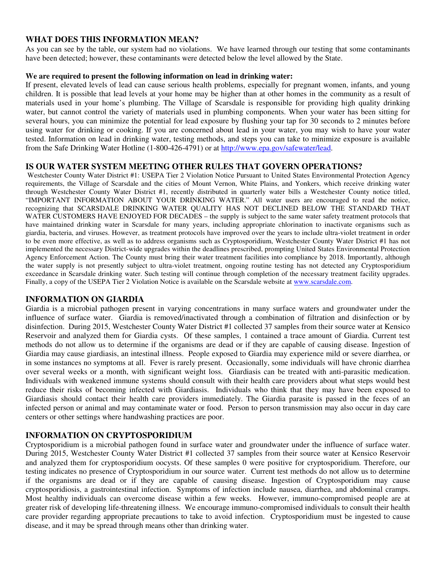# **WHAT DOES THIS INFORMATION MEAN?**

As you can see by the table, our system had no violations. We have learned through our testing that some contaminants have been detected; however, these contaminants were detected below the level allowed by the State.

### **We are required to present the following information on lead in drinking water:**

If present, elevated levels of lead can cause serious health problems, especially for pregnant women, infants, and young children. It is possible that lead levels at your home may be higher than at other homes in the community as a result of materials used in your home's plumbing. The Village of Scarsdale is responsible for providing high quality drinking water, but cannot control the variety of materials used in plumbing components. When your water has been sitting for several hours, you can minimize the potential for lead exposure by flushing your tap for 30 seconds to 2 minutes before using water for drinking or cooking. If you are concerned about lead in your water, you may wish to have your water tested. Information on lead in drinking water, testing methods, and steps you can take to minimize exposure is available from the Safe Drinking Water Hotline (1-800-426-4791) or at http://www.epa.gov/safewater/lead.

## **IS OUR WATER SYSTEM MEETING OTHER RULES THAT GOVERN OPERATIONS?**

 Westchester County Water District #1: USEPA Tier 2 Violation Notice Pursuant to United States Environmental Protection Agency requirements, the Village of Scarsdale and the cities of Mount Vernon, White Plains, and Yonkers, which receive drinking water through Westchester County Water District #1, recently distributed in quarterly water bills a Westchester County notice titled, "IMPORTANT INFORMATION ABOUT YOUR DRINKING WATER." All water users are encouraged to read the notice, recognizing that SCARSDALE DRINKING WATER QUALITY HAS NOT DECLINED BELOW THE STANDARD THAT WATER CUSTOMERS HAVE ENJOYED FOR DECADES – the supply is subject to the same water safety treatment protocols that have maintained drinking water in Scarsdale for many years, including appropriate chlorination to inactivate organisms such as giardia, bacteria, and viruses. However, as treatment protocols have improved over the years to include ultra-violet treatment in order to be even more effective, as well as to address organisms such as Cryptosporidium, Westchester County Water District #1 has not implemented the necessary District-wide upgrades within the deadlines prescribed, prompting United States Environmental Protection Agency Enforcement Action. The County must bring their water treatment facilities into compliance by 2018. Importantly, although the water supply is not presently subject to ultra-violet treatment, ongoing routine testing has not detected any Cryptosporidium exceedance in Scarsdale drinking water. Such testing will continue through completion of the necessary treatment facility upgrades. Finally, a copy of the USEPA Tier 2 Violation Notice is available on the Scarsdale website at www.scarsdale.com.

## **INFORMATION ON GIARDIA**

Giardia is a microbial pathogen present in varying concentrations in many surface waters and groundwater under the influence of surface water. Giardia is removed/inactivated through a combination of filtration and disinfection or by disinfection. During 2015, Westchester County Water District #1 collected 37 samples from their source water at Kensico Reservoir and analyzed them for Giardia cysts. Of these samples, 1 contained a trace amount of Giardia. Current test methods do not allow us to determine if the organisms are dead or if they are capable of causing disease. Ingestion of Giardia may cause giardiasis, an intestinal illness. People exposed to Giardia may experience mild or severe diarrhea, or in some instances no symptoms at all. Fever is rarely present. Occasionally, some individuals will have chronic diarrhea over several weeks or a month, with significant weight loss. Giardiasis can be treated with anti-parasitic medication. Individuals with weakened immune systems should consult with their health care providers about what steps would best reduce their risks of becoming infected with Giardiasis. Individuals who think that they may have been exposed to Giardiasis should contact their health care providers immediately. The Giardia parasite is passed in the feces of an infected person or animal and may contaminate water or food. Person to person transmission may also occur in day care centers or other settings where handwashing practices are poor.

# **INFORMATION ON CRYPTOSPORIDIUM**

Cryptosporidium is a microbial pathogen found in surface water and groundwater under the influence of surface water. During 2015, Westchester County Water District #1 collected 37 samples from their source water at Kensico Reservoir and analyzed them for cryptosporidium oocysts. Of these samples 0 were positive for cryptosporidium. Therefore, our testing indicates no presence of Cryptosporidium in our source water. Current test methods do not allow us to determine if the organisms are dead or if they are capable of causing disease. Ingestion of Cryptosporidium may cause cryptosporidiosis, a gastrointestinal infection. Symptoms of infection include nausea, diarrhea, and abdominal cramps. Most healthy individuals can overcome disease within a few weeks. However, immuno-compromised people are at greater risk of developing life-threatening illness. We encourage immuno-compromised individuals to consult their health care provider regarding appropriate precautions to take to avoid infection. Cryptosporidium must be ingested to cause disease, and it may be spread through means other than drinking water.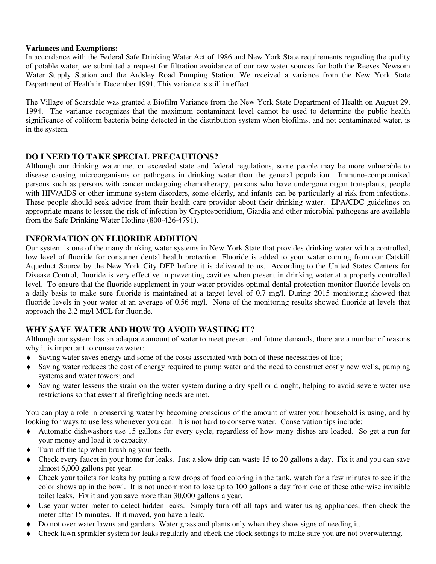## **Variances and Exemptions:**

In accordance with the Federal Safe Drinking Water Act of 1986 and New York State requirements regarding the quality of potable water, we submitted a request for filtration avoidance of our raw water sources for both the Reeves Newsom Water Supply Station and the Ardsley Road Pumping Station. We received a variance from the New York State Department of Health in December 1991. This variance is still in effect.

The Village of Scarsdale was granted a Biofilm Variance from the New York State Department of Health on August 29, 1994. The variance recognizes that the maximum contaminant level cannot be used to determine the public health significance of coliform bacteria being detected in the distribution system when biofilms, and not contaminated water, is in the system.

# **DO I NEED TO TAKE SPECIAL PRECAUTIONS?**

Although our drinking water met or exceeded state and federal regulations, some people may be more vulnerable to disease causing microorganisms or pathogens in drinking water than the general population. Immuno-compromised persons such as persons with cancer undergoing chemotherapy, persons who have undergone organ transplants, people with HIV/AIDS or other immune system disorders, some elderly, and infants can be particularly at risk from infections. These people should seek advice from their health care provider about their drinking water. EPA/CDC guidelines on appropriate means to lessen the risk of infection by Cryptosporidium, Giardia and other microbial pathogens are available from the Safe Drinking Water Hotline (800-426-4791).

# **INFORMATION ON FLUORIDE ADDITION**

Our system is one of the many drinking water systems in New York State that provides drinking water with a controlled, low level of fluoride for consumer dental health protection. Fluoride is added to your water coming from our Catskill Aqueduct Source by the New York City DEP before it is delivered to us. According to the United States Centers for Disease Control, fluoride is very effective in preventing cavities when present in drinking water at a properly controlled level. To ensure that the fluoride supplement in your water provides optimal dental protection monitor fluoride levels on a daily basis to make sure fluoride is maintained at a target level of 0.7 mg/l. During 2015 monitoring showed that fluoride levels in your water at an average of 0.56 mg/l. None of the monitoring results showed fluoride at levels that approach the 2.2 mg/l MCL for fluoride.

# **WHY SAVE WATER AND HOW TO AVOID WASTING IT?**

Although our system has an adequate amount of water to meet present and future demands, there are a number of reasons why it is important to conserve water:

- ♦ Saving water saves energy and some of the costs associated with both of these necessities of life;
- ♦ Saving water reduces the cost of energy required to pump water and the need to construct costly new wells, pumping systems and water towers; and
- ♦ Saving water lessens the strain on the water system during a dry spell or drought, helping to avoid severe water use restrictions so that essential firefighting needs are met.

You can play a role in conserving water by becoming conscious of the amount of water your household is using, and by looking for ways to use less whenever you can. It is not hard to conserve water. Conservation tips include:

- ♦ Automatic dishwashers use 15 gallons for every cycle, regardless of how many dishes are loaded. So get a run for your money and load it to capacity.
- ♦ Turn off the tap when brushing your teeth.
- ♦ Check every faucet in your home for leaks. Just a slow drip can waste 15 to 20 gallons a day. Fix it and you can save almost 6,000 gallons per year.
- ♦ Check your toilets for leaks by putting a few drops of food coloring in the tank, watch for a few minutes to see if the color shows up in the bowl. It is not uncommon to lose up to 100 gallons a day from one of these otherwise invisible toilet leaks. Fix it and you save more than 30,000 gallons a year.
- ♦ Use your water meter to detect hidden leaks. Simply turn off all taps and water using appliances, then check the meter after 15 minutes. If it moved, you have a leak.
- ♦ Do not over water lawns and gardens. Water grass and plants only when they show signs of needing it.
- ♦ Check lawn sprinkler system for leaks regularly and check the clock settings to make sure you are not overwatering.